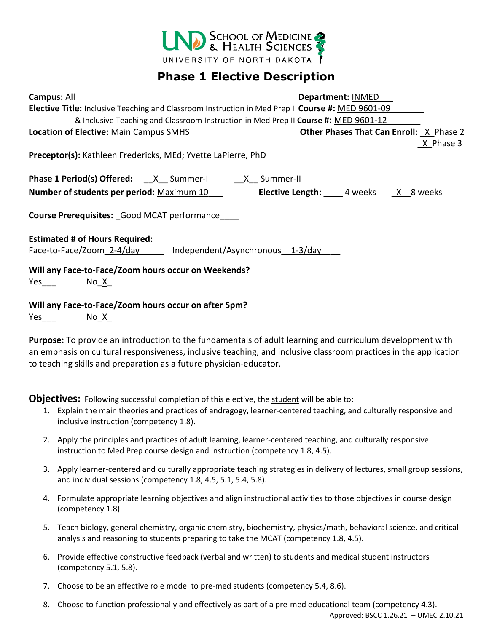

## **Phase 1 Elective Description**

| Campus: All                                                                                      | <b>Department: INMED</b>                               |
|--------------------------------------------------------------------------------------------------|--------------------------------------------------------|
| Elective Title: Inclusive Teaching and Classroom Instruction in Med Prep I Course #: MED 9601-09 |                                                        |
| & Inclusive Teaching and Classroom Instruction in Med Prep II Course #: MED 9601-12              |                                                        |
| Location of Elective: Main Campus SMHS                                                           | <b>Other Phases That Can Enroll: X Phase 2</b>         |
|                                                                                                  | X Phase 3                                              |
| <b>Preceptor(s):</b> Kathleen Fredericks, MEd; Yvette LaPierre, PhD                              |                                                        |
| <b>Phase 1 Period(s) Offered:</b> $\frac{X}{X}$ Summer-I $\frac{X}{X}$ Summer-II                 |                                                        |
| Number of students per period: Maximum 10                                                        | <b>Elective Length:</b> 4 weeks $\overline{X}$ 8 weeks |
| Course Prerequisites: Good MCAT performance                                                      |                                                        |
| <b>Estimated # of Hours Required:</b>                                                            |                                                        |
|                                                                                                  |                                                        |
| Will any Face-to-Face/Zoom hours occur on Weekends?                                              |                                                        |
| No X                                                                                             |                                                        |
| Will any Face-to-Face/Zoom hours occur on after 5pm?                                             |                                                        |

Yes No X

**Purpose:** To provide an introduction to the fundamentals of adult learning and curriculum development with an emphasis on cultural responsiveness, inclusive teaching, and inclusive classroom practices in the application to teaching skills and preparation as a future physician-educator.

**Objectives:** Following successful completion of this elective, the student will be able to:

- 1. Explain the main theories and practices of andragogy, learner-centered teaching, and culturally responsive and inclusive instruction (competency 1.8).
- 2. Apply the principles and practices of adult learning, learner-centered teaching, and culturally responsive instruction to Med Prep course design and instruction (competency 1.8, 4.5).
- 3. Apply learner-centered and culturally appropriate teaching strategies in delivery of lectures, small group sessions, and individual sessions (competency 1.8, 4.5, 5.1, 5.4, 5.8).
- 4. Formulate appropriate learning objectives and align instructional activities to those objectives in course design (competency 1.8).
- 5. Teach biology, general chemistry, organic chemistry, biochemistry, physics/math, behavioral science, and critical analysis and reasoning to students preparing to take the MCAT (competency 1.8, 4.5).
- 6. Provide effective constructive feedback (verbal and written) to students and medical student instructors (competency 5.1, 5.8).
- 7. Choose to be an effective role model to pre-med students (competency 5.4, 8.6).
- 8. Choose to function professionally and effectively as part of a pre-med educational team (competency 4.3).